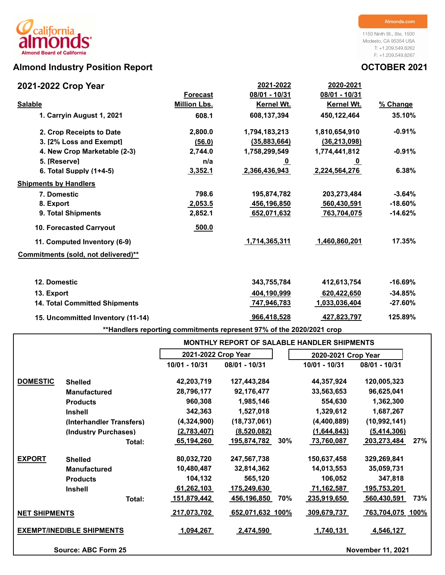# Almond Industry Position Report **Almond Industry Position Report CELL 2021**

## **2021-2022 Crop Year**

1150 Ninth St., Ste. 1500 Modesto, CA 95354 USA T: +1.209.549.8262 F: +1.209.549.8267

| 2021-2022 Crop Year                  |                     | 2021-2022               | 2020-2021               |            |
|--------------------------------------|---------------------|-------------------------|-------------------------|------------|
|                                      | <b>Forecast</b>     | 08/01 - 10/31           | 08/01 - 10/31           |            |
| <b>Salable</b>                       | <b>Million Lbs.</b> | Kernel Wt.              | Kernel Wt.              | % Change   |
| 1. Carryin August 1, 2021            | 608.1               | 608,137,394             | 450,122,464             | 35.10%     |
| 2. Crop Receipts to Date             | 2,800.0             | 1,794,183,213           | 1,810,654,910           | $-0.91%$   |
| 3. I2% Loss and Exempt1              | (56.0)              | (35,883,664)            | (36, 213, 098)          |            |
| 4. New Crop Marketable (2-3)         | 2,744.0             | 1,758,299,549           | 1,774,441,812           | $-0.91%$   |
| 5. [Reserve]                         | n/a                 | $\overline{\mathbf{0}}$ | $\overline{\mathbf{0}}$ |            |
| 6. Total Supply $(1+4-5)$            | 3,352.1             | 2,366,436,943           | 2,224,564,276           | 6.38%      |
| <b>Shipments by Handlers</b>         |                     |                         |                         |            |
| 7. Domestic                          | 798.6               | 195,874,782             | 203,273,484             | $-3.64%$   |
| 8. Export                            | 2,053.5             | 456,196,850             | 560,430,591             | $-18.60%$  |
| 9. Total Shipments                   | 2,852.1             | 652,071,632             | 763,704,075             | $-14.62%$  |
| <b>10. Forecasted Carryout</b>       | 500.0               |                         |                         |            |
| 11. Computed Inventory (6-9)         |                     | 1,714,365,311           | 1,460,860,201           | 17.35%     |
| Commitments (sold, not delivered)**  |                     |                         |                         |            |
| 12. Domestic                         |                     | 343,755,784             | 412,613,754             | $-16.69%$  |
| 13. Export                           |                     | 404,190,999             | 620,422,650             | $-34.85%$  |
| <b>14. Total Committed Shipments</b> |                     | <u>747,946,783</u>      | 1,033,036,404           | $-27.60\%$ |
| 15. Uncommitted Inventory (11-14)    |                     | 966,418,528             | 427,823,797             | 125.89%    |

**\*\*Handlers reporting commitments represent 97% of the 2020/2021 crop**

|                      |                                  |                     | <b>MONTHLY REPORT OF SALABLE HANDLER SHIPMENTS</b> |                     |                           |
|----------------------|----------------------------------|---------------------|----------------------------------------------------|---------------------|---------------------------|
|                      |                                  | 2021-2022 Crop Year |                                                    | 2020-2021 Crop Year |                           |
|                      |                                  | 10/01 - 10/31       | 08/01 - 10/31                                      | 10/01 - 10/31       | 08/01 - 10/31             |
| <b>DOMESTIC</b>      | <b>Shelled</b>                   | 42,203,719          | 127,443,284                                        | 44,357,924          | 120,005,323               |
|                      | <b>Manufactured</b>              | 28,796,177          | 92,176,477                                         | 33,563,653          | 96,625,041                |
|                      | <b>Products</b>                  | 960,308             | 1,985,146                                          | 554,630             | 1,362,300                 |
|                      | <b>Inshell</b>                   | 342,363             | 1,527,018                                          | 1,329,612           | 1,687,267                 |
|                      | (Interhandler Transfers)         | (4,324,900)         | (18, 737, 061)                                     | (4,400,889)         | (10, 992, 141)            |
|                      | (Industry Purchases)             | (2,783,407)         | (8,520,082)                                        | (1,644,843)         | (5,414,306)               |
|                      | Total:                           | 65,194,260          | 30%<br>195,874,782                                 | 73,760,087          | 27%<br>203,273,484        |
| <b>EXPORT</b>        | <b>Shelled</b>                   | 80,032,720          | 247,567,738                                        | 150,637,458         | 329,269,841               |
|                      | <b>Manufactured</b>              | 10,480,487          | 32,814,362                                         | 14,013,553          | 35,059,731                |
|                      | <b>Products</b>                  | 104,132             | 565,120                                            | 106,052             | 347,818                   |
|                      | <b>Inshell</b>                   | 61,262,103          | 175,249,630                                        | 71,162,587          | 195,753,201               |
|                      | Total:                           | <u>151,879,442</u>  | 456,196,850<br>70%                                 | <u>235,919,650</u>  | 73%<br><u>560,430,591</u> |
| <b>NET SHIPMENTS</b> |                                  | 217,073,702         | 652,071,632 100%                                   | 309,679,737         | 763,704,075 100%          |
|                      | <b>EXEMPT/INEDIBLE SHIPMENTS</b> | 1,094,267           | <u>.2,474,590 </u>                                 | 1,740,131           | 4,546,127                 |
|                      | Source: ABC Form 25              |                     |                                                    |                     | <b>November 11, 2021</b>  |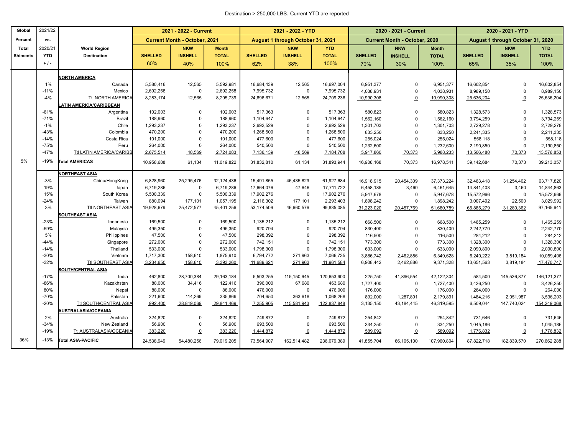### Destination > 250,000 LBS. Current YTD are reported

| Global          | 2021/22          |                                  | 2021 - 2022 - Current |                                      |                      | 2021 - 2022 - YTD    |                                   |                      | 2020 - 2021 - Current |                                      | 2020 - 2021 - YTD      |                                   |                      |                         |
|-----------------|------------------|----------------------------------|-----------------------|--------------------------------------|----------------------|----------------------|-----------------------------------|----------------------|-----------------------|--------------------------------------|------------------------|-----------------------------------|----------------------|-------------------------|
| Percent         | vs.              |                                  |                       | <b>Current Month - October, 2021</b> |                      |                      | August 1 through October 31, 2021 |                      |                       | <b>Current Month - October, 2020</b> |                        | August 1 through October 31, 2020 |                      |                         |
| <b>Total</b>    | 2020/21          | <b>World Region</b>              |                       | <b>NKW</b>                           | <b>Month</b>         |                      | <b>NKW</b>                        | <b>YTD</b>           |                       | <b>NKW</b>                           | <b>Month</b>           |                                   | <b>NKW</b>           | <b>YTD</b>              |
| <b>Shiments</b> | <b>YTD</b>       | <b>Destination</b>               | <b>SHELLED</b>        | <b>INSHELL</b>                       | <b>TOTAL</b>         | <b>SHELLED</b>       | <b>INSHELL</b>                    | <b>TOTAL</b>         | <b>SHELLED</b>        | <b>INSHELL</b>                       | <b>TOTAL</b>           | <b>SHELLED</b>                    | <b>INSHELL</b>       | <b>TOTAL</b>            |
|                 | $+1$ .           |                                  | 60%                   | 40%                                  | 100%                 | 62%                  | 38%                               | 100%                 | 70%                   | 30%                                  | 100%                   | 65%                               | 35%                  | 100%                    |
|                 |                  | <b>NORTH AMERICA</b>             |                       |                                      |                      |                      |                                   |                      |                       |                                      |                        |                                   |                      |                         |
|                 | 1%               | Canada                           | 5,580,416             | 12,565                               | 5,592,981            | 16,684,439           | 12,565                            | 16,697,004           | 6,951,377             | $\mathbf 0$                          | 6,951,377              | 16,602,854                        | $\Omega$             | 16,602,854              |
|                 | $-11%$           | Mexico                           | 2,692,258             | $\Omega$                             | 2,692,258            | 7,995,732            | $\mathsf 0$                       | 7,995,732            | 4,038,931             | $\mathbf 0$                          | 4,038,931              | 8,989,150                         | $\mathbf 0$          | 8,989,150               |
|                 | $-4%$            | Ttl NORTH AMERICA                | 8,283,174             | 12,565                               | 8,295,739            | 24,696,671           | 12,565                            | 24,709,236           | 10,990,308            | $\Omega$                             | 10,990,308             | 25,636,204                        | $\overline{0}$       | 25,636,204              |
|                 |                  | <b>ATIN AMERICA/CARIBBEAN</b>    |                       |                                      |                      |                      |                                   |                      |                       |                                      |                        |                                   |                      |                         |
|                 | $-61%$           | Argentina                        | 102,003               | $\Omega$                             | 102,003              | 517,363              | $\mathbf 0$                       | 517,363              | 580,823               | $\Omega$                             | 580,823                | 1,328,573                         | $\mathbf 0$          | 1,328,573               |
|                 | $-71%$           | <b>Brazil</b>                    | 188,960               | $\Omega$                             | 188,960              | 1,104,647            | $\mathbf 0$                       | 1,104,647            | 1,562,160             | $\mathbf 0$                          | 1,562,160              | 3,794,259                         | $\Omega$             | 3,794,259               |
|                 | $-1%$            | Chile                            | 1,293,237             | $\Omega$                             | 1,293,237            | 2,692,529            | $\overline{0}$                    | 2,692,529            | 1,301,703             | $\mathbf 0$                          | 1,301,703              | 2,729,278                         | $\Omega$             | 2,729,278               |
|                 | $-43%$           | Colombia                         | 470,200               | $\Omega$                             | 470,200              | 1,268,500            | $\overline{0}$                    | 1,268,500            | 833,250               | $\mathbf 0$                          | 833,250                | 2,241,335                         | $\Omega$             | 2,241,335               |
|                 | $-14%$           | Costa Rica                       | 101,000               | $\Omega$                             | 101,000              | 477,600              | $\mathbf 0$                       | 477,600              | 255,024               | $\mathbf 0$                          | 255,024                | 558,118                           | $\Omega$             | 558,118                 |
|                 | $-75%$<br>$-47%$ | Peru<br>Ttl LATIN AMERICA/CARIBB | 264,000<br>2,675,514  | $\Omega$<br>48,569                   | 264,000<br>2,724,083 | 540,500<br>7,136,139 | $\mathbf 0$<br>48,569             | 540,500<br>7,184,708 | 1,232,600             | $\mathbf 0$<br>70,373                | 1,232,600<br>5,988,233 | 2,190,850                         | $\Omega$<br>70,373   | 2,190,850<br>13,576,853 |
|                 |                  |                                  |                       |                                      |                      |                      |                                   |                      | 5,917,860             |                                      |                        | 13,506,480                        |                      |                         |
| 5%              | $-19%$           | <b>Total AMERICAS</b>            | 10,958,688            | 61,134                               | 11,019,822           | 31,832,810           | 61,134                            | 31,893,944           | 16,908,168            | 70,373                               | 16,978,541             | 39,142,684                        | 70,373               | 39,213,057              |
|                 |                  | <b>NORTHEAST ASIA</b>            |                       |                                      |                      |                      |                                   |                      |                       |                                      |                        |                                   |                      |                         |
|                 | $-3%$            | China/HongKong                   | 6,828,960             | 25,295,476                           | 32,124,436           | 15,491,855           | 46,435,829                        | 61,927,684           | 16,918,915            | 20,454,309                           | 37, 373, 224           | 32,463,418                        | 31,254,402           | 63,717,820              |
|                 | 19%              | Japan                            | 6,719,286             | $\Omega$                             | 6,719,286            | 17,664,076           | 47,646                            | 17,711,722           | 6,458,185             | 3,460                                | 6,461,645              | 14,841,403                        | 3,460                | 14,844,863              |
|                 | 15%              | South Korea                      | 5,500,339             | $\Omega$                             | 5,500,339            | 17,902,276           | $\mathsf 0$                       | 17,902,276           | 5,947,678             | $\mathbf 0$                          | 5,947,678              | 15,572,966                        | $\mathbf 0$          | 15,572,966              |
|                 | $-24%$           | Taiwan                           | 880,094               | 177,101                              | 1,057,195            | 2,116,302            | 177,101                           | 2,293,403            | 1,898,242             | $\mathbf 0$                          | 1,898,242              | 3,007,492                         | 22,500               | 3,029,992               |
|                 | 3%               | Ttl NORTHEAST ASIA               | 19,928,679            | 25,472,577                           | 45,401,256           | 53,174,509           | 46,660,576                        | 99,835,085           | 31,223,020            | 20,457,769                           | 51,680,789             | 65,885,279                        | 31,280,362           | 97,165,641              |
|                 |                  | <b>SOUTHEAST ASIA</b>            |                       |                                      |                      |                      |                                   |                      |                       |                                      |                        |                                   |                      |                         |
|                 | $-23%$           | Indonesia                        | 169,500               | $\Omega$                             | 169,500              | 1,135,212            | $\mathsf 0$                       | 1,135,212            | 668,500               | $\mathbf 0$                          | 668,500                | 1,465,259                         | 0                    | 1,465,259               |
|                 | $-59%$<br>5%     | Malaysia<br>Philippines          | 495,350<br>47,500     | $\Omega$<br>$\Omega$                 | 495,350<br>47,500    | 920,794<br>298,392   | $\Omega$<br>$\Omega$              | 920,794<br>298,392   | 830,400               | $\mathbf 0$                          | 830,400                | 2,242,770                         | $\Omega$<br>$\Omega$ | 2,242,770               |
|                 | $-44%$           | Singapore                        | 272,000               | $\Omega$                             | 272,000              | 742,151              | $\mathbf 0$                       | 742,151              | 116,500<br>773,300    | $\mathbf 0$<br>$\mathbf 0$           | 116,500<br>773,300     | 284,212<br>1,328,300              | $\Omega$             | 284,212<br>1,328,300    |
|                 | $-14%$           | Thailand                         | 533,000               | $\Omega$                             | 533,000              | 1,798,300            | $\mathbf 0$                       | 1,798,300            | 633,000               | $\mathbf 0$                          | 633,000                | 2,090,800                         | $\Omega$             | 2,090,800               |
|                 | $-30%$           | Vietnam                          | 1,717,300             | 158,610                              | 1,875,910            | 6,794,772            | 271,963                           | 7,066,735            | 3,886,742             | 2,462,886                            | 6,349,628              | 6,240,222                         | 3,819,184            | 10,059,406              |
|                 | $-32%$           | <b>Ttl SOUTHEAST ASIA</b>        | 3,234,650             | 158,610                              | 3,393,260            | 11,689,621           | 271,963                           | 11,961,584           | 6,908,442             | 2,462,886                            | 9,371,328              | 13,651,563                        | 3,819,184            | 17,470,747              |
|                 |                  | <b>SOUTH/CENTRAL ASIA</b>        |                       |                                      |                      |                      |                                   |                      |                       |                                      |                        |                                   |                      |                         |
|                 | $-17%$           | India                            | 462,800               | 28,700,384                           | 29, 163, 184         | 5,503,255            | 115,150,645                       | 120,653,900          | 225,750               | 41,896,554                           | 42,122,304             | 584,500                           | 145,536,877          | 146, 121, 377           |
|                 | $-86%$           | Kazakhstan                       | 88,000                | 34,416                               | 122,416              | 396,000              | 67,680                            | 463,680              | 1,727,400             | $\mathbf 0$                          | 1,727,400              | 3,426,250                         | 0                    | 3,426,250               |
|                 | 80%              | Nepal                            | 88,000                | $\Omega$                             | 88,000               | 476,000              | $\mathsf 0$                       | 476,000              | 176,000               | $\mathbf 0$                          | 176,000                | 264,000                           | 0                    | 264,000                 |
|                 | $-70%$           | Pakistan                         | 221,600               | 114,269                              | 335,869              | 704,650              | 363,618                           | 1,068,268            | 892,000               | 1,287,891                            | 2,179,891              | 1,484,216                         | 2,051,987            | 3,536,203               |
|                 | $-20%$           | <b>Ttl SOUTH/CENTRAL ASIA</b>    | 992,400               | 28,849,069                           | 29,841,469           | 7,255,905            | 115,581,943                       | 122,837,848          | 3,135,150             | 43,184,445                           | 46,319,595             | 6,509,044                         | 147,740,024          | 154,249,068             |
|                 |                  | <b>IUSTRALASIA/OCEANIA</b>       |                       |                                      |                      |                      |                                   |                      |                       |                                      |                        |                                   |                      |                         |
|                 | 2%               | Australia                        | 324,820               | $\Omega$                             | 324,820              | 749,872              | $\mathbf 0$                       | 749,872              | 254,842               | $\mathbf 0$                          | 254,842                | 731,646                           | $\mathbf 0$          | 731,646                 |
|                 | $-34%$<br>$-19%$ | New Zealand                      | 56,900                | $\Omega$                             | 56,900               | 693,500              | $\mathbf 0$                       | 693,500              | 334,250               | $\mathbf 0$                          | 334,250                | 1,045,186                         | 0                    | 1,045,186               |
|                 |                  | Ttl AUSTRALASIA/OCEANIA          | 383,220               | $\pmb{0}$                            | 383,220              | 1,444,872            | $\overline{0}$                    | 1,444,872            | 589,092               | $\Omega$                             | 589,092                | 1,776,832                         | $\overline{0}$       | 1,776,832               |
| 36%             | $-13%$           | <b>Total ASIA-PACIFIC</b>        | 24,538,949            | 54,480,256                           | 79,019,205           | 73,564,907           | 162,514,482                       | 236,079,389          | 41,855,704            | 66,105,100                           | 107,960,804            | 87,822,718                        | 182,839,570          | 270,662,288             |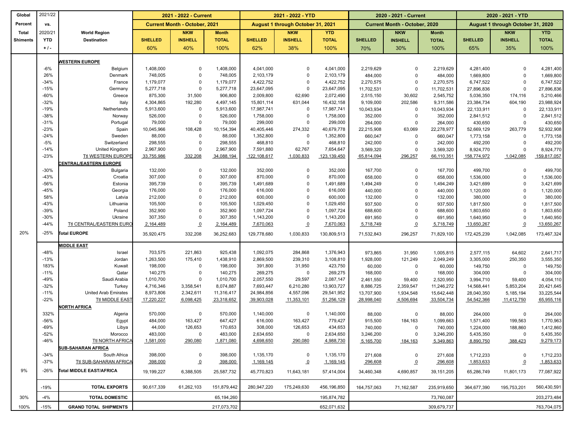| Global          | 2021/22      |                                 |                      | 2021 - 2022 - Current                |                      |                        | 2021 - 2022 - YTD                 |                        |                      | 2020 - 2021 - Current                |                      | 2020 - 2021 - YTD      |                                   |                        |
|-----------------|--------------|---------------------------------|----------------------|--------------------------------------|----------------------|------------------------|-----------------------------------|------------------------|----------------------|--------------------------------------|----------------------|------------------------|-----------------------------------|------------------------|
| Percent         | VS.          |                                 |                      | <b>Current Month - October, 2021</b> |                      |                        | August 1 through October 31, 2021 |                        |                      | <b>Current Month - October, 2020</b> |                      |                        | August 1 through October 31, 2020 |                        |
| Total           | 2020/21      | <b>World Region</b>             |                      | <b>NKW</b>                           | <b>Month</b>         |                        | <b>NKW</b>                        | <b>YTD</b>             |                      | <b>NKW</b>                           | <b>Month</b>         |                        | <b>NKW</b>                        | <b>YTD</b>             |
| <b>Shiments</b> | <b>YTD</b>   | <b>Destination</b>              | <b>SHELLED</b>       | <b>INSHELL</b>                       | <b>TOTAL</b>         | <b>SHELLED</b>         | <b>INSHELL</b>                    | <b>TOTAL</b>           | <b>SHELLED</b>       | <b>INSHELL</b>                       | <b>TOTAL</b>         | <b>SHELLED</b>         | <b>INSHELL</b>                    | <b>TOTAL</b>           |
|                 | $+1$ .       |                                 | 60%                  | 40%                                  | 100%                 | 62%                    | 38%                               | 100%                   | 70%                  | 30%                                  | 100%                 | 65%                    | 35%                               | 100%                   |
|                 |              |                                 |                      |                                      |                      |                        |                                   |                        |                      |                                      |                      |                        |                                   |                        |
|                 |              | <b>WESTERN EUROPE</b>           |                      |                                      |                      |                        |                                   |                        |                      |                                      |                      |                        |                                   |                        |
|                 | $-6%$<br>26% | Belgium                         | 1,408,000            | $\mathbf 0$<br>$\mathbf 0$           | 1,408,000            | 4,041,000              | 0<br>$\mathbf 0$                  | 4,041,000              | 2,219,629            | 0<br>$\mathbf 0$                     | 2,219,629            | 4,281,400              | $\Omega$                          | 4,281,400              |
|                 | $-34%$       | Denmark<br>France               | 748,005<br>1,179,077 | $\mathbf 0$                          | 748,005<br>1,179,077 | 2,103,179<br>4,422,752 | $\mathsf{O}$                      | 2,103,179<br>4,422,752 | 484,000<br>2,270,575 | $\mathbf 0$                          | 484,000<br>2,270,575 | 1,669,800<br>6,747,522 | $\mathbf 0$<br>$\Omega$           | 1,669,800<br>6,747,522 |
|                 | $-15%$       | Germany                         | 5,277,718            | $\mathbf 0$                          | 5,277,718            | 23,647,095             | $\mathbf 0$                       | 23,647,095             | 11,702,531           | $\mathbf 0$                          | 11,702,531           | 27,896,836             | $\overline{0}$                    | 27,896,836             |
|                 | $-60%$       | Greece                          | 875,300              | 31,500                               | 906,800              | 2,009,800              | 62,690                            | 2,072,490              | 2,515,150            | 30,602                               | 2,545,752            | 5,036,350              | 174,116                           | 5,210,466              |
|                 | $-32%$       | Italy                           | 4,304,865            | 192,280                              | 4,497,145            | 15,801,114             | 631,044                           | 16,432,158             | 9,109,000            | 202,586                              | 9,311,586            | 23,384,734             | 604,190                           | 23,988,924             |
|                 | $-19%$       | Netherlands                     | 5,913,600            | $\mathbf 0$                          | 5,913,600            | 17,987,741             | $\mathbf 0$                       | 17,987,741             | 10,043,934           | $\mathbf 0$                          | 10,043,934           | 22,133,911             | $\mathbf 0$                       | 22,133,911             |
|                 | $-38%$       | Norway                          | 526,000              | $\mathbf 0$                          | 526,000              | 1,758,000              | $\mathbf 0$                       | 1,758,000              | 352,000              | $\mathbf 0$                          | 352,000              | 2,841,512              | $\mathbf 0$                       | 2,841,512              |
|                 | $-31%$       | Portugal                        | 79,000               | $\mathbf 0$                          | 79,000               | 299,000                | $\mathsf{O}$                      | 299,000                | 264,000              | $\mathbf 0$                          | 264,000              | 430,650                | $\mathbf 0$                       | 430,650                |
|                 | $-23%$       | Spain                           | 10,045,966           | 108,428                              | 10,154,394           | 40,405,446             | 274,332                           | 40,679,778             | 22,215,908           | 63,069                               | 22,278,977           | 52,669,129             | 263,779                           | 52,932,908             |
|                 | $-24%$       | Sweden                          | 88,000               | $\mathbf 0$                          | 88,000               | 1,352,800              | $\mathsf 0$                       | 1,352,800              | 660,047              | $\mathbf 0$                          | 660,047              | 1,773,158              | $\mathbf 0$                       | 1,773,158              |
|                 | $-5%$        | Switzerland                     | 298,555              | $\overline{0}$                       | 298,555              | 468,810                | $\mathbf 0$                       | 468,810                | 242,000              | $\mathbf 0$                          | 242,000              | 492,200                | $\mathbf 0$                       | 492,200                |
|                 | $-14%$       | <b>United Kingdom</b>           | 2,967,900            | $\overline{0}$                       | 2,967,900            | 7,591,880              | 62,767                            | 7,654,647              | 3,569,320            | $\mathbf 0$                          | 3,569,320            | 8,924,770              | $\Omega$                          | 8,924,770              |
|                 | $-23%$       | <b>Ttl WESTERN EUROPE</b>       | 33,755,986           | 332,208                              | 34,088,194           | 122,108,617            | 1,030,833                         | 123,139,450            | 65,814,094           | 296,257                              | 66,110,351           | 158,774,972            | 1,042,085                         | 159,817,057            |
|                 |              | <b>ENTRAL/EASTERN EUROPE</b>    |                      |                                      |                      |                        |                                   |                        |                      |                                      |                      |                        |                                   |                        |
|                 | $-30%$       | Bulgaria                        | 132,000              | $\mathbf 0$                          | 132,000              | 352,000                | 0                                 | 352,000                | 167,700              | $\mathbf 0$                          | 167,700              | 499,700                | $\mathbf 0$                       | 499,700                |
|                 | $-43%$       | Croatia                         | 307,000              | $\mathbf 0$                          | 307,000              | 870,000                | 0                                 | 870,000                | 658,000              | $\mathbf 0$                          | 658,000              | 1,536,000              | $\overline{0}$                    | 1,536,000              |
|                 | $-56%$       | Estonia                         | 395,739              | $\mathbf 0$                          | 395,739              | 1,491,689              | $\mathbf 0$                       | 1,491,689              | 1,494,249            | $\mathbf 0$                          | 1,494,249            | 3,421,699              | $\mathbf 0$                       | 3,421,699              |
|                 | $-45%$       | Georgia                         | 176,000              | $\mathbf 0$                          | 176,000              | 616,000                | $\mathbf 0$                       | 616,000                | 440,000              | 0                                    | 440,000              | 1,120,000              | $\Omega$                          | 1,120,000              |
|                 | 58%          | Latvia                          | 212,000              | $\mathbf 0$                          | 212,000              | 600,000                | $\mathbf 0$                       | 600,000                | 132,000              | $\mathbf 0$                          | 132,000              | 380,000                | $\Omega$                          | 380,000                |
|                 | $-43%$       | Lithuania                       | 105,500              | $\mathbf 0$                          | 105,500              | 1,029,450              | $\mathbf 0$                       | 1,029,450              | 937,500              | $\mathbf 0$                          | 937,500              | 1,817,500              | $\Omega$                          | 1,817,500              |
|                 | -39%         | Poland                          | 352,900              | $\mathbf 0$                          | 352,900              | 1,097,724              | $\mathbf 0$                       | 1,097,724              | 688,600              | 0                                    | 688,600              | 1,803,650              | $\Omega$                          | 1,803,650              |
|                 | $-30%$       | Ukraine                         | 307,350              | $\mathbf 0$                          | 307,350              | 1,143,200              | $\mathsf{O}$                      | 1,143,200              | 691,950              | $\mathbf 0$                          | 691,950              | 1,640,950              | $\Omega$                          | 1,640,950              |
|                 | $-44%$       | <b>Ttl CENTRAL/EASTERN EURO</b> | 2,164,489            | $\underline{\mathbf{0}}$             | 2,164,489            | 7,670,063              | $\overline{o}$                    | 7,670,063              | 5,718,749            | $\overline{0}$                       | 5,718,749            | 13,650,267             | $\underline{0}$                   | 13,650,267             |
| 20%             | $-25%$       | <b>Total EUROPE</b>             | 35,920,475           | 332,208                              | 36,252,683           | 129,778,680            | 1,030,833                         | 130,809,513            | 71,532,843           | 296,257                              | 71,829,100           | 172,425,239            | 1,042,085                         | 173,467,324            |
|                 |              | <b>MIDDLE EAST</b>              |                      |                                      |                      |                        |                                   |                        |                      |                                      |                      |                        |                                   |                        |
|                 | $-48%$       | Israel                          | 703,575              | 221,863                              | 925,438              | 1,092,075              | 284,868                           | 1,376,943              | 973,865              | 31,950                               | 1,005,815            | 2,577,115              | 64,602                            | 2,641,717              |
|                 | $-13%$       | Jordan                          | 1,263,500            | 175,410                              | 1,438,910            | 2,869,500              | 239,310                           | 3,108,810              | 1,928,000            | 121,249                              | 2,049,249            | 3,305,000              | 250,350                           | 3,555,350              |
|                 | 183%         | Kuwait                          | 198,000              | $\mathbf 0$                          | 198,000              | 391,800                | 31,950                            | 423,750                | 60,000               | $\mathbf 0$                          | 60,000               | 149,750                | $\mathbf 0$                       | 149,750                |
|                 | $-11%$       | Qatar                           | 140,275              | $\mathbf 0$                          | 140,275              | 269,275                | $\mathsf{O}$                      | 269,275                | 168,000              | $\mathbf 0$                          | 168,000              | 304,000                | $\mathbf 0$                       | 304,000                |
|                 | $-49%$       | Saudi Arabia                    | 1,010,700            | $\mathbf 0$                          | 1,010,700            | 2,057,550              | 29,597                            | 2,087,147              | 2,461,550            | 59,400                               | 2,520,950            | 3,994,710              | 59,400                            | 4,054,110              |
|                 | $-32%$       | Turkey                          | 4,716,346            | 3,358,541                            | 8,074,887            | 7,693,447              | 6,210,280                         | 13,903,727             | 8,886,725            | 2,359,547                            | 11,246,272           | 14,568,441             | 5,853,204                         | 20,421,645             |
|                 | $-11%$       | <b>United Arab Emirates</b>     | 8,973,806            | 2,342,611                            | 11,316,417           | 24,984,856             | 4,557,096                         | 29,541,952             | 13,707,900           | 1,934,548                            | 15,642,448           | 28,040,350             | 5,185,194                         | 33,225,544             |
|                 | $-22%$       | <b>Ttl MIDDLE EAST</b>          | 17,220,227           | 6,098,425                            | 23,318,652           | 39,903,028             | 11,353,101                        | 51,256,129             | 28,998,040           | 4,506,694                            | 33,504,734           | 54,542,366             | 11,412,750                        | 65,955,116             |
|                 |              | <b>NORTH AFRICA</b>             |                      |                                      |                      |                        |                                   |                        |                      |                                      |                      |                        |                                   |                        |
|                 | 332%         | Algeria                         | 570,000              | $\mathbf 0$                          | 570,000              | 1,140,000              | $\mathbf 0$                       | 1,140,000              | 88,000               | 0                                    | 88,000               | 264,000                | 0                                 | 264,000                |
|                 | $-56%$       | Egypt                           | 484,000              | 163,427                              | 647,427              | 616,000                | 163,427                           | 779,427                | 915,500              | 184,163                              | 1,099,663            | 1,571,400              | 199,563                           | 1,770,963              |
|                 | $-69%$       | Libya                           | 44,000               | 126,653                              | 170,653              | 308,000                | 126,653                           | 434,653                | 740,000              | $\mathbf 0$                          | 740,000              | 1,224,000              | 188,860                           | 1,412,860              |
|                 | $-52%$       | Morocco                         | 483,000              | $\mathbf 0$                          | 483,000              | 2,634,650              | $\mathsf{O}$                      | 2,634,650              | 3,246,200            | $\mathbf 0$                          | 3,246,200            | 5,435,350              | $\mathbf 0$                       | 5,435,350              |
|                 | $-46%$       | <b>Ttl NORTH AFRICA</b>         | 1,581,000            | 290,080                              | 1,871,080            | 4,698,650              | 290,080                           | 4,988,730              | 5,165,700            | 184,163                              | 5,349,863            | 8,890,750              | 388,423                           | 9,279,173              |
|                 |              | <b>SUB-SAHARAN AFRICA</b>       |                      |                                      |                      |                        |                                   |                        |                      |                                      |                      |                        |                                   |                        |
|                 | $-34%$       | South Africa                    | 398,000              | $\mathbf 0$                          | 398,000              | 1,135,170              | 0                                 | 1,135,170              | 271,608              | 0                                    | 271,608              | 1,712,233              | 0                                 | 1,712,233              |
|                 | $-37%$       | <b>Ttl SUB-SAHARAN AFRICA</b>   | 398,000              | $\Omega$                             | 398,000              | 1,169,145              | $\overline{0}$                    | 1,169,145              | 296,608              | $\overline{0}$                       | 296,608              | 1,853,633              | $\overline{0}$                    | 1,853,633              |
| 9%              | $-26%$       | Total MIDDLE EAST/AFRICA        | 19,199,227           | 6,388,505                            | 25,587,732           | 45,770,823             | 11,643,181                        | 57,414,004             | 34,460,348           | 4,690,857                            | 39,151,205           | 65,286,749             | 11,801,173                        | 77,087,922             |
|                 | $-19%$       | <b>TOTAL EXPORTS</b>            | 90,617,339           | 61,262,103                           | 151,879,442          | 280,947,220            | 175,249,630                       | 456,196,850            | 164,757,063          | 71,162,587                           | 235,919,650          | 364,677,390            | 195,753,201                       | 560,430,591            |
| 30%             | $-4%$        | <b>TOTAL DOMESTIC</b>           |                      |                                      | 65,194,260           |                        |                                   | 195,874,782            |                      |                                      | 73,760,087           |                        |                                   | 203,273,484            |
|                 |              |                                 |                      |                                      |                      |                        |                                   |                        |                      |                                      |                      |                        |                                   |                        |
| 100%            | $-15%$       | <b>GRAND TOTAL SHIPMENTS</b>    |                      |                                      | 217,073,702          |                        |                                   | 652,071,632            |                      |                                      | 309,679,737          |                        |                                   | 763,704,075            |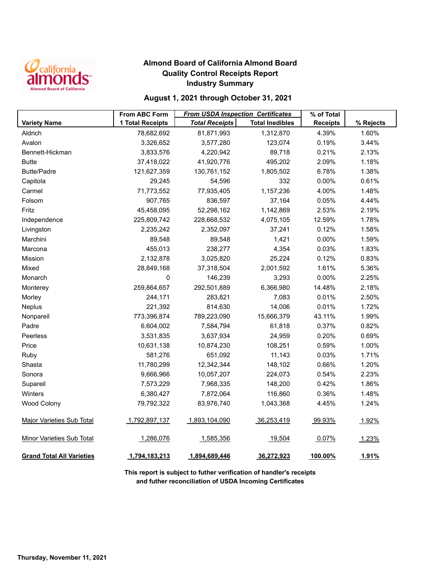

### **Almond Board of California Almond Board Quality Control Receipts Report Industry Summary**

### **August 1, 2021 through October 31, 2021**

|                                  | <b>From ABC Form</b>    | <b>From USDA Inspection Certificates</b> | % of Total             |                 |           |
|----------------------------------|-------------------------|------------------------------------------|------------------------|-----------------|-----------|
| <b>Variety Name</b>              | <b>1 Total Receipts</b> | <b>Total Receipts</b>                    | <b>Total Inedibles</b> | <b>Receipts</b> | % Rejects |
| Aldrich                          | 78,682,692              | 81,871,993                               | 1,312,870              | 4.39%           | 1.60%     |
| Avalon                           | 3,326,652               | 3,577,280                                | 123,074                | 0.19%           | 3.44%     |
| Bennett-Hickman                  | 3,833,576               | 4,220,942                                | 89,718                 | 0.21%           | 2.13%     |
| <b>Butte</b>                     | 37,418,022              | 41,920,776                               | 495,202                | 2.09%           | 1.18%     |
| <b>Butte/Padre</b>               | 121,627,359             | 130,761,152                              | 1,805,502              | 6.78%           | 1.38%     |
| Capitola                         | 29,245                  | 54,596                                   | 332                    | 0.00%           | 0.61%     |
| Carmel                           | 71,773,552              | 77,935,405                               | 1,157,236              | 4.00%           | 1.48%     |
| Folsom                           | 907,765                 | 836,597                                  | 37,164                 | 0.05%           | 4.44%     |
| Fritz                            | 45,458,095              | 52,298,162                               | 1,142,869              | 2.53%           | 2.19%     |
| Independence                     | 225,809,742             | 228,668,532                              | 4,075,105              | 12.59%          | 1.78%     |
| Livingston                       | 2,235,242               | 2,352,097                                | 37,241                 | 0.12%           | 1.58%     |
| Marchini                         | 89,548                  | 89,548                                   | 1,421                  | 0.00%           | 1.59%     |
| Marcona                          | 455,013                 | 238,277                                  | 4,354                  | 0.03%           | 1.83%     |
| Mission                          | 2,132,878               | 3,025,820                                | 25,224                 | 0.12%           | 0.83%     |
| Mixed                            | 28,849,168              | 37,318,504                               | 2,001,592              | 1.61%           | 5.36%     |
| Monarch                          | 0                       | 146,239                                  | 3,293                  | 0.00%           | 2.25%     |
| Monterey                         | 259,864,657             | 292,501,889                              | 6,366,980              | 14.48%          | 2.18%     |
| Morley                           | 244,171                 | 283,821                                  | 7,083                  | 0.01%           | 2.50%     |
| Neplus                           | 221,392                 | 814,630                                  | 14,006                 | 0.01%           | 1.72%     |
| Nonpareil                        | 773,396,874             | 789,223,090                              | 15,666,379             | 43.11%          | 1.99%     |
| Padre                            | 6,604,002               | 7,584,794                                | 61,818                 | 0.37%           | 0.82%     |
| Peerless                         | 3,531,835               | 3,637,934                                | 24,959                 | 0.20%           | 0.69%     |
| Price                            | 10,631,138              | 10,874,230                               | 108,251                | 0.59%           | 1.00%     |
| Ruby                             | 581,276                 | 651,092                                  | 11,143                 | 0.03%           | 1.71%     |
| Shasta                           | 11,780,299              | 12,342,344                               | 148,102                | 0.66%           | 1.20%     |
| Sonora                           | 9,666,966               | 10,057,207                               | 224,073                | 0.54%           | 2.23%     |
| Supareil                         | 7,573,229               | 7,968,335                                | 148,200                | 0.42%           | 1.86%     |
| Winters                          | 6,380,427               | 7,872,064                                | 116,860                | 0.36%           | 1.48%     |
| <b>Wood Colony</b>               | 79,792,322              | 83,976,740                               | 1,043,368              | 4.45%           | 1.24%     |
| <b>Major Varieties Sub Total</b> | 1,792,897,137           | 1,893,104,090                            | 36,253,419             | 99.93%          | 1.92%     |
| <b>Minor Varieties Sub Total</b> | 1,286,076               | 1,585,356                                | 19,504                 | 0.07%           | 1.23%     |
| <b>Grand Total All Varieties</b> | 1,794,183,213           | 1,894,689,446                            | 36,272,923             | 100.00%         | 1.91%     |

**This report is subject to futher verification of handler's receipts and futher reconciliation of USDA Incoming Certificates**